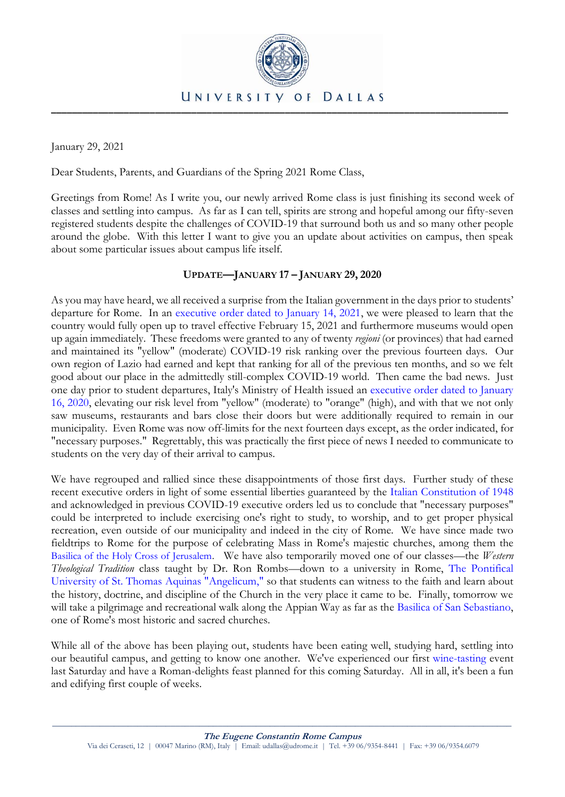

January 29, 2021

Dear Students, Parents, and Guardians of the Spring 2021 Rome Class,

Greetings from Rome! As I write you, our newly arrived Rome class is just finishing its second week of classes and settling into campus. As far as I can tell, spirits are strong and hopeful among our fifty-seven registered students despite the challenges of COVID-19 that surround both us and so many other people around the globe. With this letter I want to give you an update about activities on campus, then speak about some particular issues about campus life itself.

# **UPDATE—JANUARY 17 – JANUARY 29, 2020**

As you may have heard, we all received a surprise from the Italian government in the days prior to students' departure for Rome. In an [executive order dated to January 14, 2021,](http://www.governo.it/sites/new.governo.it/files/Dpcm_14_gennaio_2021.pdf) we were pleased to learn that the country would fully open up to travel effective February 15, 2021 and furthermore museums would open up again immediately. These freedoms were granted to any of twenty *regioni* (or provinces) that had earned and maintained its "yellow" (moderate) COVID-19 risk ranking over the previous fourteen days. Our own region of Lazio had earned and kept that ranking for all of the previous ten months, and so we felt good about our place in the admittedly still-complex COVID-19 world. Then came the bad news. Just one day prior to student departures, Italy's Ministry of Health issued an [executive order dated to January](https://www.trovanorme.salute.gov.it/norme/dettaglioAtto?id=78457&completo=true)  [16, 2020,](https://www.trovanorme.salute.gov.it/norme/dettaglioAtto?id=78457&completo=true) elevating our risk level from "yellow" (moderate) to "orange" (high), and with that we not only saw museums, restaurants and bars close their doors but were additionally required to remain in our municipality. Even Rome was now off-limits for the next fourteen days except, as the order indicated, for "necessary purposes." Regrettably, this was practically the first piece of news I needed to communicate to students on the very day of their arrival to campus.

We have regrouped and rallied since these disappointments of those first days. Further study of these recent executive orders in light of some essential liberties guaranteed by the [Italian Constitution of 1948](https://www.trovanorme.salute.gov.it/norme/dettaglioAtto?id=78457&completo=true) and acknowledged in previous COVID-19 executive orders led us to conclude that "necessary purposes" could be interpreted to include exercising one's right to study, to worship, and to get proper physical recreation, even outside of our municipality and indeed in the city of Rome. We have since made two fieldtrips to Rome for the purpose of celebrating Mass in Rome's majestic churches, among them the [Basilica of the Holy Cross of Jerusalem.](https://www.facebook.com/udromeprograms/posts/971793247000) We have also temporarily moved one of our classes—the *Western Theological Tradition* class taught by Dr. Ron Rombs—down to a university in Rome, [The Pontifical](https://angelicum.it/)  University [of St. Thomas Aquinas](https://angelicum.it/) "Angelicum," so that students can witness to the faith and learn about the history, doctrine, and discipline of the Church in the very place it came to be. Finally, tomorrow we will take a pilgrimage and recreational walk along the Appian Way as far as the [Basilica of San Sebastiano,](https://en.wikipedia.org/wiki/San_Sebastiano_fuori_le_mura) one of Rome's most historic and sacred churches.

While all of the above has been playing out, students have been eating well, studying hard, settling into our beautiful campus, and getting to know one another. We've experienced our first [wine-tasting](https://www.facebook.com/udromeprograms/posts/971086388550) event last Saturday and have a Roman-delights feast planned for this coming Saturday. All in all, it's been a fun and edifying first couple of weeks.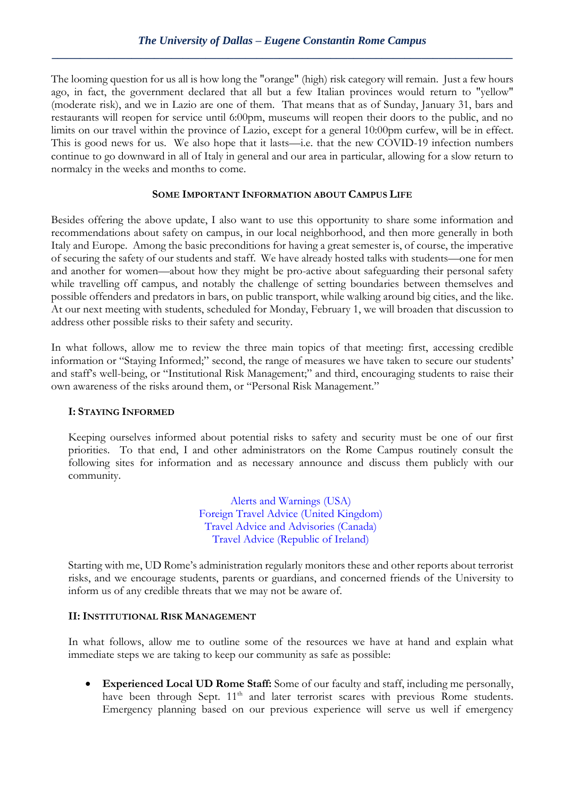The looming question for us all is how long the "orange" (high) risk category will remain. Just a few hours ago, in fact, the government declared that all but a few Italian provinces would return to "yellow" (moderate risk), and we in Lazio are one of them. That means that as of Sunday, January 31, bars and restaurants will reopen for service until 6:00pm, museums will reopen their doors to the public, and no limits on our travel within the province of Lazio, except for a general 10:00pm curfew, will be in effect. This is good news for us. We also hope that it lasts—i.e. that the new COVID-19 infection numbers continue to go downward in all of Italy in general and our area in particular, allowing for a slow return to normalcy in the weeks and months to come.

## **SOME IMPORTANT INFORMATION ABOUT CAMPUS LIFE**

Besides offering the above update, I also want to use this opportunity to share some information and recommendations about safety on campus, in our local neighborhood, and then more generally in both Italy and Europe. Among the basic preconditions for having a great semester is, of course, the imperative of securing the safety of our students and staff. We have already hosted talks with students—one for men and another for women—about how they might be pro-active about safeguarding their personal safety while travelling off campus, and notably the challenge of setting boundaries between themselves and possible offenders and predators in bars, on public transport, while walking around big cities, and the like. At our next meeting with students, scheduled for Monday, February 1, we will broaden that discussion to address other possible risks to their safety and security.

In what follows, allow me to review the three main topics of that meeting: first, accessing credible information or "Staying Informed;" second, the range of measures we have taken to secure our students' and staff's well-being, or "Institutional Risk Management;" and third, encouraging students to raise their own awareness of the risks around them, or "Personal Risk Management."

### **I: STAYING INFORMED**

Keeping ourselves informed about potential risks to safety and security must be one of our first priorities. To that end, I and other administrators on the Rome Campus routinely consult the following sites for information and as necessary announce and discuss them publicly with our community.

> [Alerts and Warnings \(USA\)](http://travel.state.gov/content/passports/en/alertswarnings.html) [Foreign Travel Advice \(United Kingdom\)](https://www.gov.uk/foreign-travel-advice) [Travel Advice and Advisories \(Canada\)](http://travel.gc.ca/travelling/advisories) [Travel Advice \(Republic](https://www.dfa.ie/travel/travel-advice/) of Ireland)

Starting with me, UD Rome's administration regularly monitors these and other reports about terrorist risks, and we encourage students, parents or guardians, and concerned friends of the University to inform us of any credible threats that we may not be aware of.

### **II: INSTITUTIONAL RISK MANAGEMENT**

In what follows, allow me to outline some of the resources we have at hand and explain what immediate steps we are taking to keep our community as safe as possible:

 **Experienced Local UD Rome Staff:** Some of our faculty and staff, including me personally, have been through Sept. 11<sup>th</sup> and later terrorist scares with previous Rome students. Emergency planning based on our previous experience will serve us well if emergency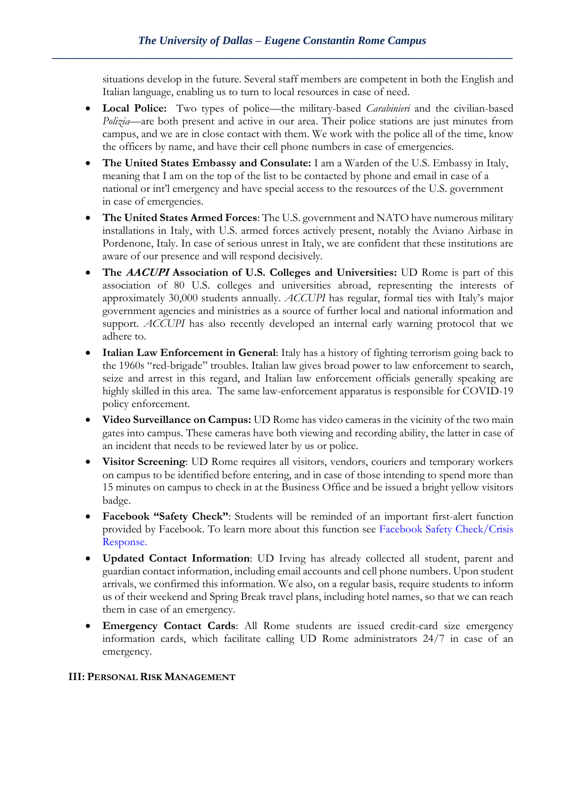situations develop in the future. Several staff members are competent in both the English and Italian language, enabling us to turn to local resources in case of need.

- **Local Police:** Two types of police—the military-based *Carabinieri* and the civilian-based *Polizia*—are both present and active in our area. Their police stations are just minutes from campus, and we are in close contact with them. We work with the police all of the time, know the officers by name, and have their cell phone numbers in case of emergencies.
- **The United States Embassy and Consulate:** I am a Warden of the U.S. Embassy in Italy, meaning that I am on the top of the list to be contacted by phone and email in case of a national or int'l emergency and have special access to the resources of the U.S. government in case of emergencies.
- **The United States Armed Forces**: The U.S. government and NATO have numerous military installations in Italy, with U.S. armed forces actively present, notably the Aviano Airbase in Pordenone, Italy. In case of serious unrest in Italy, we are confident that these institutions are aware of our presence and will respond decisively.
- **The AACUPI Association of U.S. Colleges and Universities:** UD Rome is part of this association of 80 U.S. colleges and universities abroad, representing the interests of approximately 30,000 students annually. *ACCUPI* has regular, formal ties with Italy's major government agencies and ministries as a source of further local and national information and support. *ACCUPI* has also recently developed an internal early warning protocol that we adhere to.
- **Italian Law Enforcement in General**: Italy has a history of fighting terrorism going back to the 1960s "red-brigade" troubles. Italian law gives broad power to law enforcement to search, seize and arrest in this regard, and Italian law enforcement officials generally speaking are highly skilled in this area. The same law-enforcement apparatus is responsible for COVID-19 policy enforcement.
- **Video Surveillance on Campus:** UD Rome has video cameras in the vicinity of the two main gates into campus. These cameras have both viewing and recording ability, the latter in case of an incident that needs to be reviewed later by us or police.
- **Visitor Screening**: UD Rome requires all visitors, vendors, couriers and temporary workers on campus to be identified before entering, and in case of those intending to spend more than 15 minutes on campus to check in at the Business Office and be issued a bright yellow visitors badge.
- **Facebook "Safety Check"**: Students will be reminded of an important first-alert function provided by Facebook. To learn more about this function see [Facebook Safety Check/Crisis](https://www.facebook.com/about/safetycheck/)  [Response.](https://www.facebook.com/about/safetycheck/)
- **Updated Contact Information**: UD Irving has already collected all student, parent and guardian contact information, including email accounts and cell phone numbers. Upon student arrivals, we confirmed this information. We also, on a regular basis, require students to inform us of their weekend and Spring Break travel plans, including hotel names, so that we can reach them in case of an emergency.
- **Emergency Contact Cards**: All Rome students are issued credit-card size emergency information cards, which facilitate calling UD Rome administrators 24/7 in case of an emergency.

### **III: PERSONAL RISK MANAGEMENT**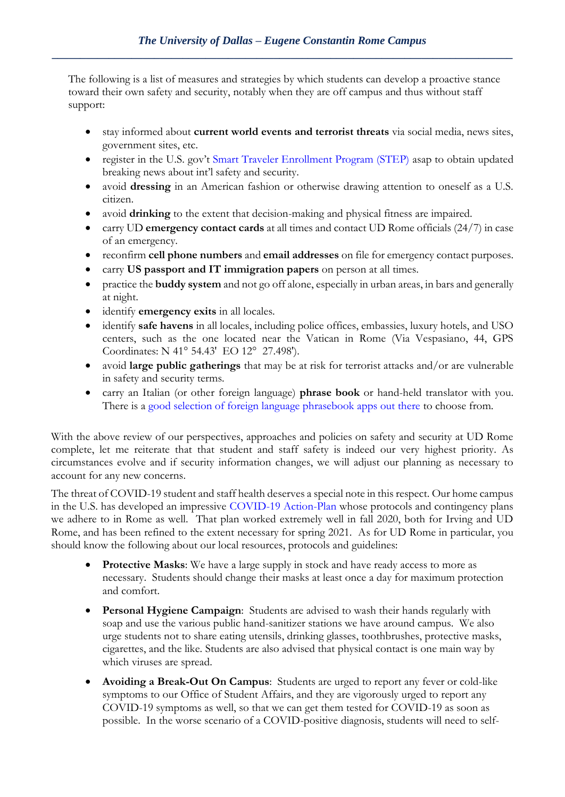The following is a list of measures and strategies by which students can develop a proactive stance toward their own safety and security, notably when they are off campus and thus without staff support:

- stay informed about **current world events and terrorist threats** via social media, news sites, government sites, etc.
- register in the U.S. gov't Smart Traveler [Enrollment Program \(STEP\)](https://step.state.gov/step/) asap to obtain updated breaking news about int'l safety and security.
- avoid **dressing** in an American fashion or otherwise drawing attention to oneself as a U.S. citizen.
- avoid **drinking** to the extent that decision-making and physical fitness are impaired.
- carry UD **emergency contact cards** at all times and contact UD Rome officials (24/7) in case of an emergency.
- reconfirm **cell phone numbers** and **email addresses** on file for emergency contact purposes.
- carry **US passport and IT immigration papers** on person at all times.
- practice the **buddy system** and not go off alone, especially in urban areas, in bars and generally at night.
- identify **emergency exits** in all locales.
- identify **safe havens** in all locales, including police offices, embassies, luxury hotels, and USO centers, such as the one located near the Vatican in Rome (Via Vespasiano, 44, GPS Coordinates: N 41° 54.43' EO 12° 27.498').
- avoid **large public gatherings** that may be at risk for terrorist attacks and/or are vulnerable in safety and security terms.
- carry an Italian (or other foreign language) **phrase book** or hand-held translator with you. There is a [good selection of foreign language phrasebook apps out there](https://matadornetwork.com/goods/7-best-language-learning-apps-use-abroad/) to choose from.

With the above review of our perspectives, approaches and policies on safety and security at UD Rome complete, let me reiterate that that student and staff safety is indeed our very highest priority. As circumstances evolve and if security information changes, we will adjust our planning as necessary to account for any new concerns.

The threat of COVID-19 student and staff health deserves a special note in this respect. Our home campus in the U.S. has developed an impressive [COVID-19 Action-Plan](https://udallas.edu/coronavirus/) whose protocols and contingency plans we adhere to in Rome as well. That plan worked extremely well in fall 2020, both for Irving and UD Rome, and has been refined to the extent necessary for spring 2021. As for UD Rome in particular, you should know the following about our local resources, protocols and guidelines:

- **Protective Masks**: We have a large supply in stock and have ready access to more as necessary. Students should change their masks at least once a day for maximum protection and comfort.
- **Personal Hygiene Campaign**: Students are advised to wash their hands regularly with soap and use the various public hand-sanitizer stations we have around campus. We also urge students not to share eating utensils, drinking glasses, toothbrushes, protective masks, cigarettes, and the like. Students are also advised that physical contact is one main way by which viruses are spread.
- **Avoiding a Break-Out On Campus**: Students are urged to report any fever or cold-like symptoms to our Office of Student Affairs, and they are vigorously urged to report any COVID-19 symptoms as well, so that we can get them tested for COVID-19 as soon as possible. In the worse scenario of a COVID-positive diagnosis, students will need to self-